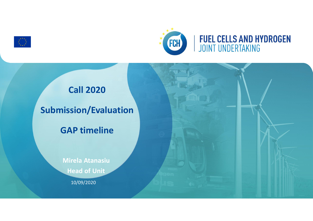



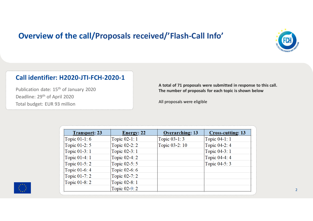# **Overview of the call/Proposals received/'Flash-Call Info'**



#### **Call identifier: H2020-JTI-FCH-2020-1**

Publication date: 15<sup>th</sup> of January 2020 Deadline: 29<sup>th</sup> of April 2020 Total budget: EUR 93 million

**A total of 71 proposals were submitted in response to this call. The number of proposals for each topic is shown below**

All proposals were eligible

| <b>Transport: 23</b> | <b>Energy: 22</b> | <b>Overarching: 13</b> | <b>Cross-cutting: 13</b> |
|----------------------|-------------------|------------------------|--------------------------|
| Topic 01-1:6         | Topic 02-1: 1     | Topic 03-1:3           | Topic 04-1: 1            |
| Topic 01-2: 5        | Topic 02-2: 2     | Topic 03-2: 10         | Topic 04-2: 4            |
| Topic 01-3: 1        | Topic 02-3: 1     |                        | Topic 04-3: 1            |
| Topic 01-4: 1        | Topic 02-4: 2     |                        | Topic 04-4: 4            |
| Topic 01-5:2         | Topic 02-5: 5     |                        | Topic 04-5: 3            |
| Topic 01-6: 4        | Topic 02-6: 6     |                        |                          |
| Topic 01-7: 2        | Topic 02-7: 2     |                        |                          |
| Topic 01-8: 2        | Topic 02-8: 1     |                        |                          |
|                      | Topic 02-9: 2     |                        |                          |

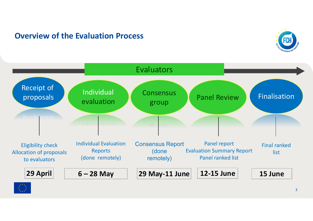# **Overview of the Evaluation Process**





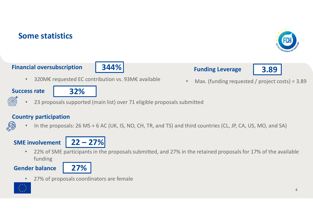# **Some statistics**

#### **Financial oversubscription**

• 320M€ requested EC contribution vs. 93M€ available

**344%**

• Max. (funding requested / project costs) = 3.89

#### **Success rate**

- 23 proposals supported (main list) over 71 eligible proposals submitted
- **Country participation**
	- In the proposals: 26 MS + 6 AC (UK, IS, NO, CH, TR, and TS) and third countries (CL, JP, CA, US, MO, and SA)

### **SME involvement**

• 22% of SME participants in the proposals submitted, and 27% in the retained proposals for 17% of the available funding

#### **Gender balance**

27% of proposals coordinators are female

**27%**